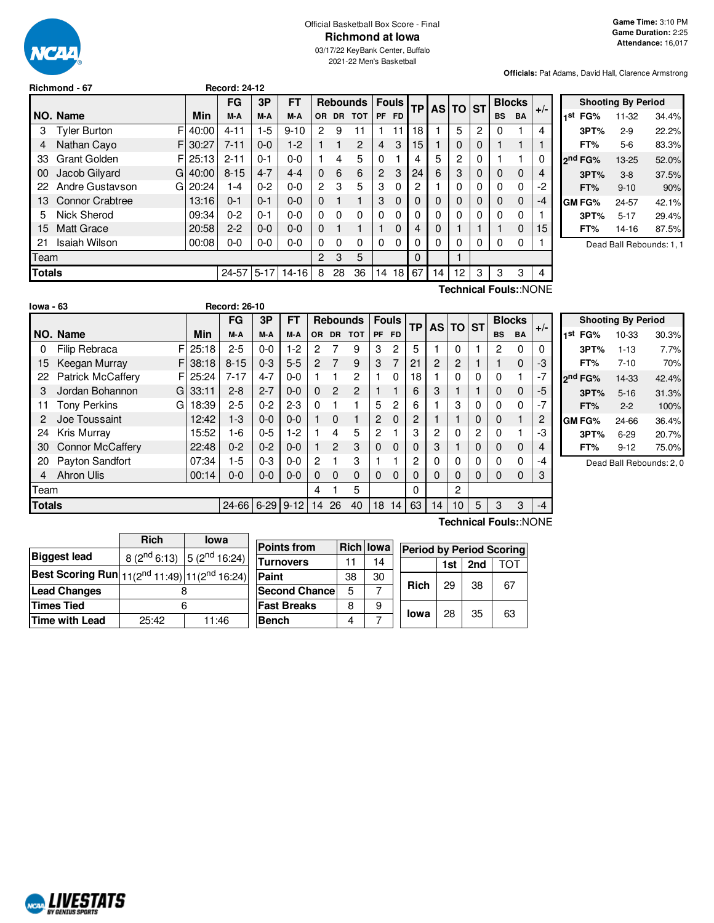

## Official Basketball Box Score - Final **Richmond at Iowa**

03/17/22 KeyBank Center, Buffalo 2021-22 Men's Basketball

**Officials:** Pat Adams, David Hall, Clarence Armstrong

|               |                          |          | FG        | 3P       | FT        |          |    | <b>Rebounds</b> |                | <b>Fouls</b> | ТP       | <b>AS TO</b> |    | <b>ST</b> |           | <b>Blocks</b> |       |
|---------------|--------------------------|----------|-----------|----------|-----------|----------|----|-----------------|----------------|--------------|----------|--------------|----|-----------|-----------|---------------|-------|
|               | NO. Name                 | Min      | M-A       | M-A      | M-A       | OR.      |    | DR TOT          |                | PF FD        |          |              |    |           | <b>BS</b> | <b>BA</b>     | $+/-$ |
| 3             | F<br><b>Tyler Burton</b> | 40:00    | $4 - 11$  | 1-5      | $9 - 10$  | 2        | 9  | 11              |                | 11           | 18       |              | 5  | 2         | 0         |               | 4     |
| 4             | Nathan Cayo<br>F.        | 30:27    | $7 - 11$  | $0 - 0$  | $1-2$     |          |    | $\mathcal{P}$   | 4              | 3            | 15       |              | 0  | 0         |           |               |       |
| 33            | <b>Grant Golden</b>      | FI 25:13 | $2 - 11$  | $0 - 1$  | $0 - 0$   |          | 4  | 5               | 0              |              | 4        | 5            | 2  | 0         |           |               |       |
| 00            | Jacob Gilyard<br>G       | 40:00    | $8 - 15$  | $4 - 7$  | $4 - 4$   | 0        | 6  | 6               | $\overline{2}$ | 3            | 24       | 6            | 3  | 0         | 0         | $\mathbf 0$   | 4     |
| 22            | Andre Gustavson<br>G     | 20:24    | 1-4       | $0 - 2$  | $0 - 0$   | 2        | 3  | 5               | 3              | 0            | 2        |              | 0  | 0         | 0         | 0             | -2    |
| 13            | Connor Crabtree          | 13:16    | $0 - 1$   | $0 - 1$  | $0 - 0$   | 0        |    |                 | 3              | $\Omega$     | 0        | $\Omega$     | 0  | 0         | 0         | 0             | $-4$  |
| 5             | Nick Sherod              | 09:34    | $0 - 2$   | $0 - 1$  | $0 - 0$   | 0        | 0  | 0               | $\Omega$       | 0            | 0        | 0            | 0  | 0         | 0         | 0             |       |
| 15            | <b>Matt Grace</b>        | 20:58    | $2 - 2$   | $0 - 0$  | $0 - 0$   | $\Omega$ |    |                 |                | 0            | 4        | 0            |    |           |           | $\mathbf 0$   | 15    |
| 21            | Isaiah Wilson            | 00:08    | $0-0$     | $0-0$    | $0 - 0$   | 0        | 0  | 0               | 0              | 0            | 0        | 0            | 0  | 0         | 0         | 0             |       |
| Team          |                          |          |           |          |           | 2        | 3  | 5               |                |              | $\Omega$ |              |    |           |           |               |       |
| <b>Totals</b> |                          |          | $24 - 57$ | $5 - 17$ | $14 - 16$ | 8        | 28 | 36              | 14             | 18           | 67       | 14           | 12 | 3         | 3         | 3             | 4     |
|               | Technical Fouls::NONE    |          |           |          |           |          |    |                 |                |              |          |              |    |           |           |               |       |

**Richmond - 67 Record: 24-12**

| <b>Shooting By Period</b> |                     |          |       |  |  |  |  |  |
|---------------------------|---------------------|----------|-------|--|--|--|--|--|
| 1st                       | FG%                 | 11-32    | 34.4% |  |  |  |  |  |
|                           | 3PT%                | $2-9$    | 22.2% |  |  |  |  |  |
|                           | FT%                 | 5-6      | 83.3% |  |  |  |  |  |
|                           | 2 <sup>nd</sup> FG% | 13-25    | 52.0% |  |  |  |  |  |
|                           | 3PT%                | $3 - 8$  | 37.5% |  |  |  |  |  |
|                           | FT%                 | $9 - 10$ | 90%   |  |  |  |  |  |
|                           | <b>GM FG%</b>       | 24-57    | 42.1% |  |  |  |  |  |
|                           | 3PT%                | $5 - 17$ | 29.4% |  |  |  |  |  |
|                           | FT%                 | 14-16    | 87.5% |  |  |  |  |  |
|                           |                     |          |       |  |  |  |  |  |

Dead Ball Rebounds: 1, 1

| lowa - 63     |                          |             | <b>Record: 26-10</b> |       |          |          |                |                |                 |                |                |          |          |          |              |              |           |      |               |       |
|---------------|--------------------------|-------------|----------------------|-------|----------|----------|----------------|----------------|-----------------|----------------|----------------|----------|----------|----------|--------------|--------------|-----------|------|---------------|-------|
|               |                          |             | <b>FG</b>            |       | 3P       | FT       |                |                | <b>Rebounds</b> | <b>Fouls</b>   |                |          |          | ТP       | <b>AS TO</b> |              | <b>ST</b> |      | <b>Blocks</b> | $+/-$ |
|               | NO. Name                 | Min         | M-A                  |       | M-A      | M-A      | <b>OR</b>      | <b>DR</b>      | <b>TOT</b>      | <b>PF</b>      | <b>FD</b>      |          |          |          |              | <b>BS</b>    | <b>BA</b> |      |               |       |
| 0             | <b>Filip Rebraca</b>     | F<br>25:18  | $2 - 5$              |       | $0 - 0$  | $1-2$    | 2              |                | 9               | 3              | 2              | 5        |          | 0        |              | 2            | $\Omega$  | 0    |               |       |
| 15            | Keegan Murray            | F.<br>38:18 | $8 - 15$             |       | $0 - 3$  | $5 - 5$  | $\overline{2}$ | 7              | 9               | 3              | $\overline{7}$ | 21       | 2        | 2        |              |              | $\Omega$  | -3   |               |       |
| 22            | <b>Patrick McCaffery</b> | 25:24<br>F  | $7 - 17$             |       | $4 - 7$  | $0-0$    |                |                | $\overline{2}$  |                | $\Omega$       | 18       |          | 0        | $\Omega$     | 0            | 1         | $-7$ |               |       |
| 3             | Jordan Bohannon          | G<br>33:11  | $2 - 8$              |       | $2 - 7$  | $0 - 0$  | $\Omega$       | $\overline{2}$ | $\overline{2}$  |                |                | 6        | 3        |          |              | 0            | 0         | -5   |               |       |
| 11            | <b>Tony Perkins</b>      | 18:39<br>G  | $2 - 5$              |       | $0 - 2$  | $2 - 3$  | $\Omega$       |                |                 | 5              | 2              | 6        |          | 3        | 0            | 0            | $\Omega$  | $-7$ |               |       |
| 2             | Joe Toussaint            | 12:42       |                      | $1-3$ | $0 - 0$  | $0 - 0$  |                | $\Omega$       | 1               | 2              | $\Omega$       | 2        |          |          | 0            | $\mathbf{0}$ | 1         | 2    |               |       |
| 24            | Kris Murray              | 15:52       |                      | 1-6   | $0 - 5$  | $1-2$    |                | 4              | 5               | $\overline{2}$ |                | 3        | 2        | 0        | 2            | 0            | 4         | -3   |               |       |
| 30            | <b>Connor McCaffery</b>  | 22:48       | $0 - 2$              |       | $0 - 2$  | $0 - 0$  |                | $\mathcal{P}$  | 3               | $\Omega$       | $\Omega$       |          | 3        |          | 0            | 0            | $\Omega$  | 4    |               |       |
| 20            | Payton Sandfort          | 07:34       |                      | $1-5$ | $0 - 3$  | $0 - 0$  | $\overline{2}$ |                | 3               |                |                | 2        | 0        | 0        | 0            | 0            | 0         | -4   |               |       |
| 4             | Ahron Ulis               | 00:14       | $0-0$                |       | $0-0$    | $0-0$    | 0              | $\Omega$       | $\Omega$        | 0              | $\Omega$       |          | $\Omega$ | $\Omega$ | $\Omega$     | 0            | 0         | 3    |               |       |
| Team          |                          |             |                      |       |          |          | 4              |                | 5               |                |                | $\Omega$ |          | 2        |              |              |           |      |               |       |
| <b>Totals</b> |                          |             |                      | 24-66 | $6 - 29$ | $9 - 12$ | 14             | 26             | 40              | 18             | 14             | 63       | 14       | 10       | 5            | 3            | 3         | $-4$ |               |       |

|     | <b>Shooting By Period</b> |           |       |  |  |  |  |  |  |  |  |
|-----|---------------------------|-----------|-------|--|--|--|--|--|--|--|--|
| 1st | FG%                       | $10 - 33$ | 30.3% |  |  |  |  |  |  |  |  |
|     | 3PT%                      | $1 - 13$  | 7.7%  |  |  |  |  |  |  |  |  |
|     | FT%                       | $7 - 10$  | 70%   |  |  |  |  |  |  |  |  |
|     | 2nd FG%                   | 14-33     | 42.4% |  |  |  |  |  |  |  |  |
|     | 3PT%                      | $5 - 16$  | 31.3% |  |  |  |  |  |  |  |  |
|     | FT%                       | $2 - 2$   | 100%  |  |  |  |  |  |  |  |  |
|     | GM FG%                    | 24-66     | 36.4% |  |  |  |  |  |  |  |  |
|     | 3PT%                      | $6 - 29$  | 20.7% |  |  |  |  |  |  |  |  |
|     | FT%                       | $9 - 12$  | 75.0% |  |  |  |  |  |  |  |  |

Dead Ball Rebounds: 2, 0

|                                                                                               | <b>Rich</b> | <b>lowa</b>                            |  |  |  |  |  |  |
|-----------------------------------------------------------------------------------------------|-------------|----------------------------------------|--|--|--|--|--|--|
| <b>Biggest lead</b>                                                                           |             | 8 ( $2^{nd}$ 6:13) 5 ( $2^{nd}$ 16:24) |  |  |  |  |  |  |
| Best Scoring Run $\left  11(2^{\text{nd}}\ 11:49) \right $ 11(2 <sup>nd</sup> 16:24) $\left $ |             |                                        |  |  |  |  |  |  |
| <b>Lead Changes</b>                                                                           |             |                                        |  |  |  |  |  |  |
| Times Tied                                                                                    | 6           |                                        |  |  |  |  |  |  |
| Time with Lead                                                                                | 25:42       | 11:46                                  |  |  |  |  |  |  |

| <b>Points from</b>    |    | <b>Rich lowa</b> | <b>Period by Period Scoring</b> |     |     |    |  |
|-----------------------|----|------------------|---------------------------------|-----|-----|----|--|
| <b>Turnovers</b>      |    | 14               |                                 | 1st | 2nd |    |  |
| Paint                 | 38 | 30               |                                 | 29  | 38  | 67 |  |
| <b>Second Chancel</b> | 5  |                  | <b>Rich</b>                     |     |     |    |  |
| <b>Fast Breaks</b>    | 8  | 9                |                                 |     |     |    |  |
| <b>Bench</b>          |    |                  | lowa                            | 28  | 35  | 63 |  |

**Technical Fouls:**:NONE

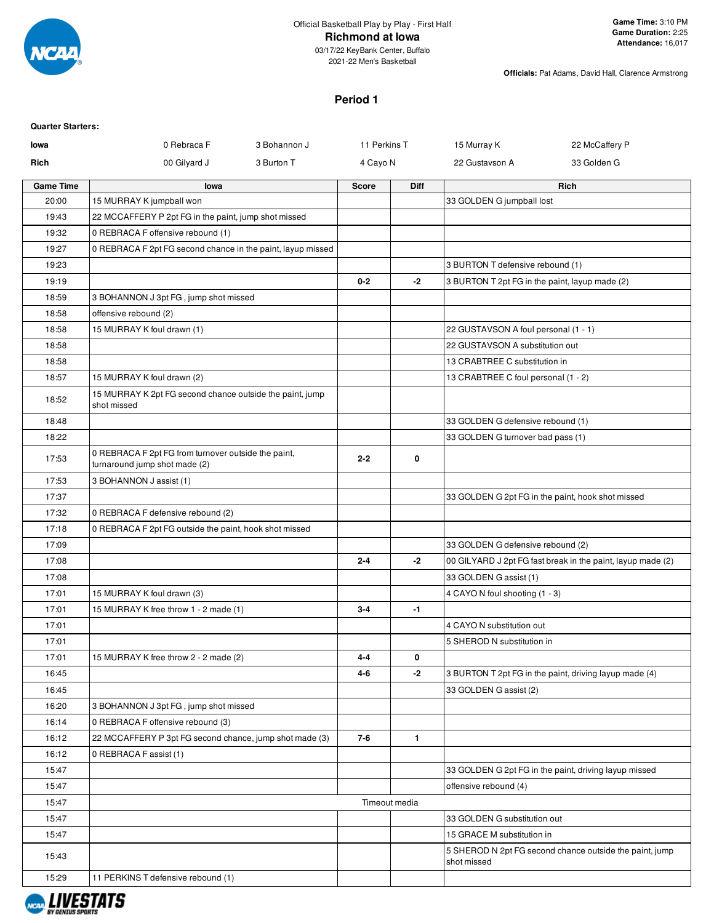

2021-22 Men's Basketball

**Officials:** Pat Adams, David Hall, Clarence Armstrong

### **Period 1**

| <b>Quarter Starters:</b> |                                                                                      |              |               |              |                                                |                                                             |
|--------------------------|--------------------------------------------------------------------------------------|--------------|---------------|--------------|------------------------------------------------|-------------------------------------------------------------|
| lowa                     | 0 Rebraca F                                                                          | 3 Bohannon J | 11 Perkins T  |              | 15 Murray K                                    | 22 McCaffery P                                              |
| Rich                     | 00 Gilyard J                                                                         | 3 Burton T   | 4 Cayo N      |              | 22 Gustavson A                                 | 33 Golden G                                                 |
| <b>Game Time</b>         | lowa                                                                                 |              | <b>Score</b>  | Diff         |                                                | Rich                                                        |
| 20:00                    | 15 MURRAY K jumpball won                                                             |              |               |              | 33 GOLDEN G jumpball lost                      |                                                             |
| 19:43                    | 22 MCCAFFERY P 2pt FG in the paint, jump shot missed                                 |              |               |              |                                                |                                                             |
| 19:32                    | 0 REBRACA F offensive rebound (1)                                                    |              |               |              |                                                |                                                             |
| 19:27                    | 0 REBRACA F 2pt FG second chance in the paint, layup missed                          |              |               |              |                                                |                                                             |
| 19:23                    |                                                                                      |              |               |              | 3 BURTON T defensive rebound (1)               |                                                             |
| 19:19                    |                                                                                      |              | $0 - 2$       | -2           | 3 BURTON T 2pt FG in the paint, layup made (2) |                                                             |
| 18:59                    | 3 BOHANNON J 3pt FG, jump shot missed                                                |              |               |              |                                                |                                                             |
| 18:58                    | offensive rebound (2)                                                                |              |               |              |                                                |                                                             |
| 18:58                    | 15 MURRAY K foul drawn (1)                                                           |              |               |              | 22 GUSTAVSON A foul personal (1 - 1)           |                                                             |
| 18:58                    |                                                                                      |              |               |              | 22 GUSTAVSON A substitution out                |                                                             |
| 18:58                    |                                                                                      |              |               |              | 13 CRABTREE C substitution in                  |                                                             |
| 18:57                    | 15 MURRAY K foul drawn (2)                                                           |              |               |              | 13 CRABTREE C foul personal (1 - 2)            |                                                             |
| 18:52                    | 15 MURRAY K 2pt FG second chance outside the paint, jump<br>shot missed              |              |               |              |                                                |                                                             |
| 18:48                    |                                                                                      |              |               |              | 33 GOLDEN G defensive rebound (1)              |                                                             |
| 18:22                    |                                                                                      |              |               |              | 33 GOLDEN G turnover bad pass (1)              |                                                             |
| 17:53                    | 0 REBRACA F 2pt FG from turnover outside the paint,<br>turnaround jump shot made (2) |              | $2 - 2$       | 0            |                                                |                                                             |
| 17:53                    | 3 BOHANNON J assist (1)                                                              |              |               |              |                                                |                                                             |
| 17:37                    |                                                                                      |              |               |              |                                                | 33 GOLDEN G 2pt FG in the paint, hook shot missed           |
| 17:32                    | 0 REBRACA F defensive rebound (2)                                                    |              |               |              |                                                |                                                             |
| 17:18                    | 0 REBRACA F 2pt FG outside the paint, hook shot missed                               |              |               |              |                                                |                                                             |
| 17:09                    |                                                                                      |              |               |              | 33 GOLDEN G defensive rebound (2)              |                                                             |
| 17:08                    |                                                                                      |              | $2 - 4$       | -2           |                                                | 00 GILYARD J 2pt FG fast break in the paint, layup made (2) |
| 17:08                    |                                                                                      |              |               |              | 33 GOLDEN G assist (1)                         |                                                             |
| 17:01                    | 15 MURRAY K foul drawn (3)                                                           |              |               |              | 4 CAYO N foul shooting (1 - 3)                 |                                                             |
| 17:01                    | 15 MURRAY K free throw 1 - 2 made (1)                                                |              | $3 - 4$       | $-1$         |                                                |                                                             |
| 17:01                    |                                                                                      |              |               |              | 4 CAYO N substitution out                      |                                                             |
| 17:01                    |                                                                                      |              |               |              | 5 SHEROD N substitution in                     |                                                             |
| 17:01                    | 15 MURRAY K free throw 2 - 2 made (2)                                                |              | 4-4           | 0            |                                                |                                                             |
| 16:45                    |                                                                                      |              | 4-6           | -2           |                                                | 3 BURTON T 2pt FG in the paint, driving layup made (4)      |
| 16:45                    |                                                                                      |              |               |              | 33 GOLDEN G assist (2)                         |                                                             |
| 16:20                    | 3 BOHANNON J 3pt FG, jump shot missed                                                |              |               |              |                                                |                                                             |
| 16:14                    | 0 REBRACA F offensive rebound (3)                                                    |              |               |              |                                                |                                                             |
| 16:12                    | 22 MCCAFFERY P 3pt FG second chance, jump shot made (3)                              |              | $7 - 6$       | $\mathbf{1}$ |                                                |                                                             |
| 16:12                    | 0 REBRACA F assist (1)                                                               |              |               |              |                                                |                                                             |
| 15:47                    |                                                                                      |              |               |              |                                                | 33 GOLDEN G 2pt FG in the paint, driving layup missed       |
| 15:47                    |                                                                                      |              |               |              | offensive rebound (4)                          |                                                             |
| 15:47                    |                                                                                      |              | Timeout media |              |                                                |                                                             |
| 15:47                    |                                                                                      |              |               |              | 33 GOLDEN G substitution out                   |                                                             |
| 15:47                    |                                                                                      |              |               |              | 15 GRACE M substitution in                     |                                                             |
| 15:43                    |                                                                                      |              |               |              | shot missed                                    | 5 SHEROD N 2pt FG second chance outside the paint, jump     |
| 15:29                    | 11 PERKINS T defensive rebound (1)                                                   |              |               |              |                                                |                                                             |

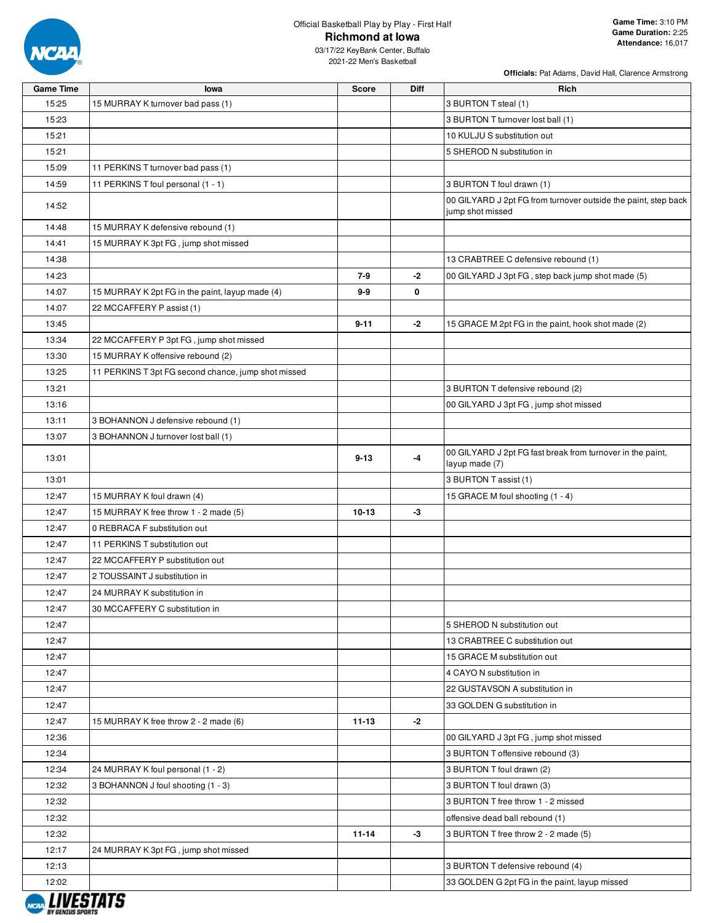

| <b>Officials:</b> Pat Adams, David Hall, Clarence Armstrong |  |  |
|-------------------------------------------------------------|--|--|
|                                                             |  |  |

| <b>Game Time</b>     | lowa                                                | <b>Score</b> | <b>Diff</b> | Rich                                                                               |
|----------------------|-----------------------------------------------------|--------------|-------------|------------------------------------------------------------------------------------|
| 15:25                | 15 MURRAY K turnover bad pass (1)                   |              |             | 3 BURTON T steal (1)                                                               |
| 15:23                |                                                     |              |             | 3 BURTON T turnover lost ball (1)                                                  |
| 15:21                |                                                     |              |             | 10 KULJU S substitution out                                                        |
| 15:21                |                                                     |              |             | 5 SHEROD N substitution in                                                         |
| 15:09                | 11 PERKINS T turnover bad pass (1)                  |              |             |                                                                                    |
| 14:59                | 11 PERKINS T foul personal (1 - 1)                  |              |             | 3 BURTON T foul drawn (1)                                                          |
| 14:52                |                                                     |              |             | 00 GILYARD J 2pt FG from turnover outside the paint, step back<br>jump shot missed |
| 14:48                | 15 MURRAY K defensive rebound (1)                   |              |             |                                                                                    |
| 14:41                | 15 MURRAY K 3pt FG, jump shot missed                |              |             |                                                                                    |
| 14:38                |                                                     |              |             | 13 CRABTREE C defensive rebound (1)                                                |
| 14:23                |                                                     | 7-9          | $-2$        | 00 GILYARD J 3pt FG, step back jump shot made (5)                                  |
| 14:07                | 15 MURRAY K 2pt FG in the paint, layup made (4)     | 9-9          | 0           |                                                                                    |
| 14:07                | 22 MCCAFFERY P assist (1)                           |              |             |                                                                                    |
| 13:45                |                                                     | $9 - 11$     | -2          | 15 GRACE M 2pt FG in the paint, hook shot made (2)                                 |
| 13:34                | 22 MCCAFFERY P 3pt FG, jump shot missed             |              |             |                                                                                    |
| 13:30                | 15 MURRAY K offensive rebound (2)                   |              |             |                                                                                    |
| 13:25                | 11 PERKINS T 3pt FG second chance, jump shot missed |              |             |                                                                                    |
| 13:21                |                                                     |              |             | 3 BURTON T defensive rebound (2)                                                   |
| 13:16                |                                                     |              |             | 00 GILYARD J 3pt FG, jump shot missed                                              |
| 13:11                | 3 BOHANNON J defensive rebound (1)                  |              |             |                                                                                    |
| 13:07                | 3 BOHANNON J turnover lost ball (1)                 |              |             |                                                                                    |
| 13:01                |                                                     | $9 - 13$     | -4          | 00 GILYARD J 2pt FG fast break from turnover in the paint,<br>layup made (7)       |
| 13:01                |                                                     |              |             | 3 BURTON T assist (1)                                                              |
| 12:47                | 15 MURRAY K foul drawn (4)                          |              |             | 15 GRACE M foul shooting (1 - 4)                                                   |
| 12:47                | 15 MURRAY K free throw 1 - 2 made (5)               | $10 - 13$    | -3          |                                                                                    |
| 12:47                | 0 REBRACA F substitution out                        |              |             |                                                                                    |
| 12:47                | 11 PERKINS T substitution out                       |              |             |                                                                                    |
| 12:47                | 22 MCCAFFERY P substitution out                     |              |             |                                                                                    |
| 12:47                | 2 TOUSSAINT J substitution in                       |              |             |                                                                                    |
| 12:47                | 24 MURRAY K substitution in                         |              |             |                                                                                    |
| 12:47                | 30 MCCAFFERY C substitution in                      |              |             |                                                                                    |
| 12:47                |                                                     |              |             | 5 SHEROD N substitution out                                                        |
| 12:47                |                                                     |              |             | 13 CRABTREE C substitution out                                                     |
| 12:47                |                                                     |              |             | 15 GRACE M substitution out                                                        |
| 12:47                |                                                     |              |             | 4 CAYO N substitution in                                                           |
| 12:47                |                                                     |              |             | 22 GUSTAVSON A substitution in                                                     |
| 12:47                |                                                     |              |             | 33 GOLDEN G substitution in                                                        |
| 12:47                | 15 MURRAY K free throw 2 - 2 made (6)               | $11 - 13$    | $-2$        |                                                                                    |
| 12:36                |                                                     |              |             | 00 GILYARD J 3pt FG, jump shot missed                                              |
| 12:34                |                                                     |              |             | 3 BURTON T offensive rebound (3)                                                   |
| 12:34                | 24 MURRAY K foul personal (1 - 2)                   |              |             | 3 BURTON T foul drawn (2)                                                          |
| 12:32                | 3 BOHANNON J foul shooting (1 - 3)                  |              |             | 3 BURTON T foul drawn (3)                                                          |
| 12:32                |                                                     |              |             | 3 BURTON T free throw 1 - 2 missed                                                 |
| 12:32                |                                                     |              |             | offensive dead ball rebound (1)                                                    |
| 12:32                |                                                     | $11 - 14$    | -3          | 3 BURTON T free throw 2 - 2 made (5)                                               |
| 12:17                | 24 MURRAY K 3pt FG, jump shot missed                |              |             |                                                                                    |
| 12:13                |                                                     |              |             | 3 BURTON T defensive rebound (4)                                                   |
| 12:02<br>,,,,,,,,,,, |                                                     |              |             | 33 GOLDEN G 2pt FG in the paint, layup missed                                      |

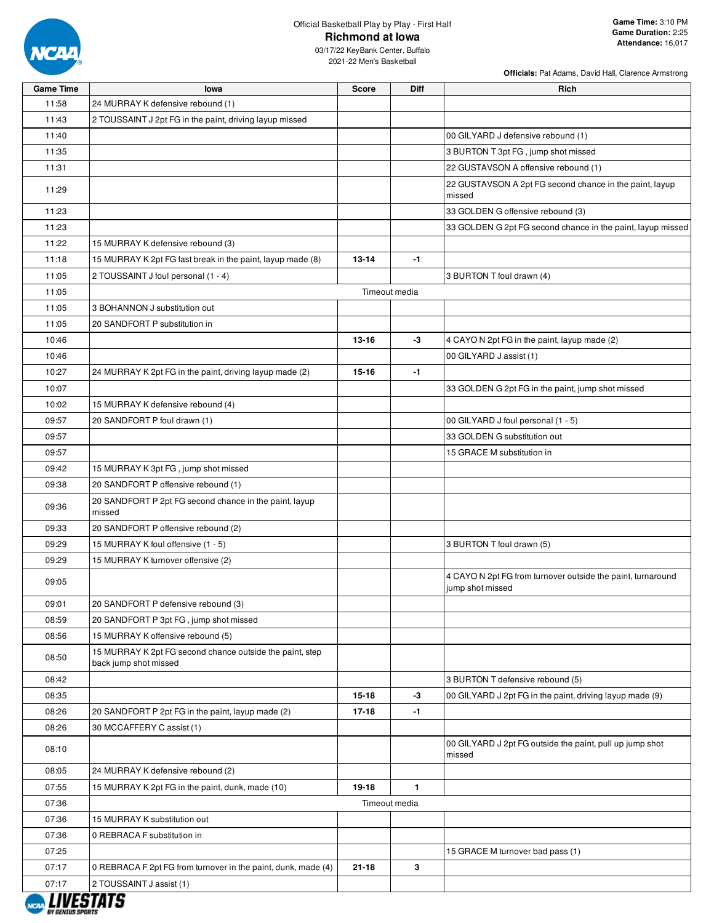

**Officials:** Pat Adams, David Hall, Clarence Armstrong

| <b>Game Time</b> | lowa                                                                              | <b>Score</b>  | <b>Diff</b>  | Rich                                                                            |
|------------------|-----------------------------------------------------------------------------------|---------------|--------------|---------------------------------------------------------------------------------|
| 11:58            | 24 MURRAY K defensive rebound (1)                                                 |               |              |                                                                                 |
| 11:43            | 2 TOUSSAINT J 2pt FG in the paint, driving layup missed                           |               |              |                                                                                 |
| 11:40            |                                                                                   |               |              | 00 GILYARD J defensive rebound (1)                                              |
| 11:35            |                                                                                   |               |              | 3 BURTON T 3pt FG, jump shot missed                                             |
| 11:31            |                                                                                   |               |              | 22 GUSTAVSON A offensive rebound (1)                                            |
| 11:29            |                                                                                   |               |              | 22 GUSTAVSON A 2pt FG second chance in the paint, layup<br>missed               |
| 11:23            |                                                                                   |               |              | 33 GOLDEN G offensive rebound (3)                                               |
| 11:23            |                                                                                   |               |              | 33 GOLDEN G 2pt FG second chance in the paint, layup missed                     |
| 11:22            | 15 MURRAY K defensive rebound (3)                                                 |               |              |                                                                                 |
| 11:18            | 15 MURRAY K 2pt FG fast break in the paint, layup made (8)                        | $13 - 14$     | $-1$         |                                                                                 |
| 11:05            | 2 TOUSSAINT J foul personal (1 - 4)                                               |               |              | 3 BURTON T foul drawn (4)                                                       |
| 11:05            |                                                                                   | Timeout media |              |                                                                                 |
| 11:05            | 3 BOHANNON J substitution out                                                     |               |              |                                                                                 |
| 11:05            | 20 SANDFORT P substitution in                                                     |               |              |                                                                                 |
| 10:46            |                                                                                   | $13 - 16$     | -3           | 4 CAYO N 2pt FG in the paint, layup made (2)                                    |
| 10:46            |                                                                                   |               |              | 00 GILYARD J assist (1)                                                         |
| 10:27            | 24 MURRAY K 2pt FG in the paint, driving layup made (2)                           | $15 - 16$     | $-1$         |                                                                                 |
| 10:07            |                                                                                   |               |              | 33 GOLDEN G 2pt FG in the paint, jump shot missed                               |
| 10:02            | 15 MURRAY K defensive rebound (4)                                                 |               |              |                                                                                 |
| 09:57            | 20 SANDFORT P foul drawn (1)                                                      |               |              | 00 GILYARD J foul personal (1 - 5)                                              |
| 09:57            |                                                                                   |               |              | 33 GOLDEN G substitution out                                                    |
| 09:57            |                                                                                   |               |              | 15 GRACE M substitution in                                                      |
| 09:42            | 15 MURRAY K 3pt FG, jump shot missed                                              |               |              |                                                                                 |
| 09:38            | 20 SANDFORT P offensive rebound (1)                                               |               |              |                                                                                 |
| 09:36            | 20 SANDFORT P 2pt FG second chance in the paint, layup<br>missed                  |               |              |                                                                                 |
| 09:33            | 20 SANDFORT P offensive rebound (2)                                               |               |              |                                                                                 |
| 09:29            | 15 MURRAY K foul offensive (1 - 5)                                                |               |              | 3 BURTON T foul drawn (5)                                                       |
| 09:29            | 15 MURRAY K turnover offensive (2)                                                |               |              |                                                                                 |
| 09:05            |                                                                                   |               |              | 4 CAYO N 2pt FG from turnover outside the paint, turnaround<br>jump shot missed |
| 09:01            | 20 SANDFORT P defensive rebound (3)                                               |               |              |                                                                                 |
| 08:59            | 20 SANDFORT P 3pt FG, jump shot missed                                            |               |              |                                                                                 |
| 08:56            | 15 MURRAY K offensive rebound (5)                                                 |               |              |                                                                                 |
| 08:50            | 15 MURRAY K 2pt FG second chance outside the paint, step<br>back jump shot missed |               |              |                                                                                 |
| 08:42            |                                                                                   |               |              | 3 BURTON T defensive rebound (5)                                                |
| 08:35            |                                                                                   | $15 - 18$     | -3           | 00 GILYARD J 2pt FG in the paint, driving layup made (9)                        |
| 08:26            | 20 SANDFORT P 2pt FG in the paint, layup made (2)                                 | 17-18         | $-1$         |                                                                                 |
| 08:26            | 30 MCCAFFERY C assist (1)                                                         |               |              |                                                                                 |
| 08:10            |                                                                                   |               |              | 00 GILYARD J 2pt FG outside the paint, pull up jump shot<br>missed              |
| 08:05            | 24 MURRAY K defensive rebound (2)                                                 |               |              |                                                                                 |
| 07:55            | 15 MURRAY K 2pt FG in the paint, dunk, made (10)                                  | 19-18         | $\mathbf{1}$ |                                                                                 |
| 07:36            |                                                                                   | Timeout media |              |                                                                                 |
| 07:36            | 15 MURRAY K substitution out                                                      |               |              |                                                                                 |
| 07:36            | 0 REBRACA F substitution in                                                       |               |              |                                                                                 |
| 07:25            |                                                                                   |               |              | 15 GRACE M turnover bad pass (1)                                                |
| 07:17            | 0 REBRACA F 2pt FG from turnover in the paint, dunk, made (4)                     | $21 - 18$     | 3            |                                                                                 |
| 07:17            | 2 TOUSSAINT J assist (1)                                                          |               |              |                                                                                 |

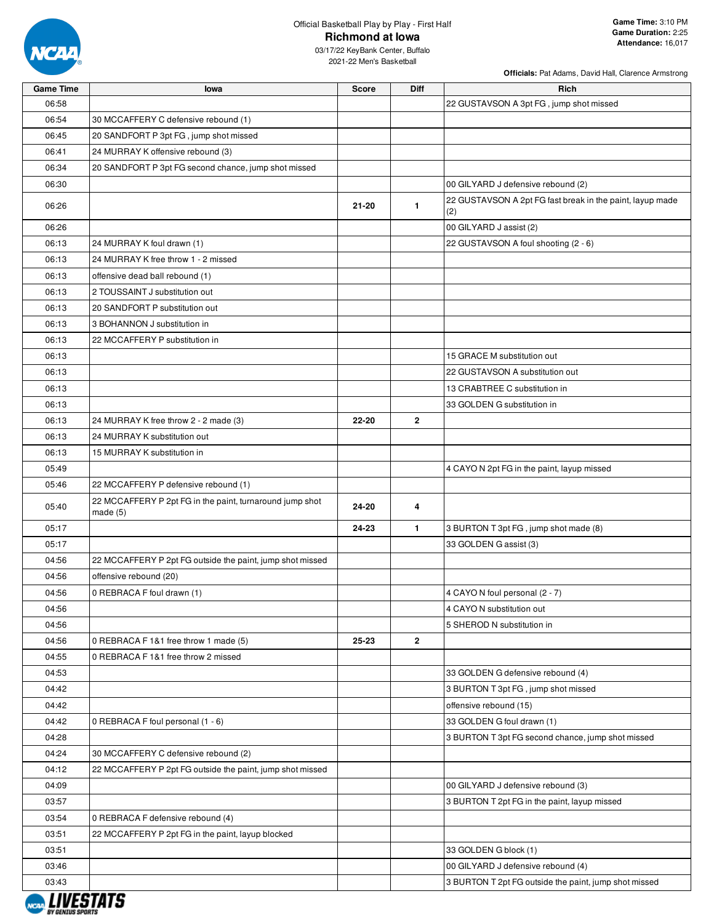

03/17/22 KeyBank Center, Buffalo 2021-22 Men's Basketball

| <b>Game Time</b> | lowa                                                                   | <b>Score</b> | <b>Diff</b>    | <b>Rich</b>                                                      |
|------------------|------------------------------------------------------------------------|--------------|----------------|------------------------------------------------------------------|
| 06:58            |                                                                        |              |                | 22 GUSTAVSON A 3pt FG, jump shot missed                          |
| 06:54            | 30 MCCAFFERY C defensive rebound (1)                                   |              |                |                                                                  |
| 06:45            | 20 SANDFORT P 3pt FG, jump shot missed                                 |              |                |                                                                  |
| 06:41            | 24 MURRAY K offensive rebound (3)                                      |              |                |                                                                  |
| 06:34            | 20 SANDFORT P 3pt FG second chance, jump shot missed                   |              |                |                                                                  |
| 06:30            |                                                                        |              |                | 00 GILYARD J defensive rebound (2)                               |
| 06:26            |                                                                        | $21 - 20$    | $\mathbf{1}$   | 22 GUSTAVSON A 2pt FG fast break in the paint, layup made<br>(2) |
| 06:26            |                                                                        |              |                | 00 GILYARD J assist (2)                                          |
| 06:13            | 24 MURRAY K foul drawn (1)                                             |              |                | 22 GUSTAVSON A foul shooting (2 - 6)                             |
| 06:13            | 24 MURRAY K free throw 1 - 2 missed                                    |              |                |                                                                  |
| 06:13            | offensive dead ball rebound (1)                                        |              |                |                                                                  |
| 06:13            | 2 TOUSSAINT J substitution out                                         |              |                |                                                                  |
| 06:13            | 20 SANDFORT P substitution out                                         |              |                |                                                                  |
| 06:13            | 3 BOHANNON J substitution in                                           |              |                |                                                                  |
| 06:13            | 22 MCCAFFERY P substitution in                                         |              |                |                                                                  |
| 06:13            |                                                                        |              |                | 15 GRACE M substitution out                                      |
| 06:13            |                                                                        |              |                | 22 GUSTAVSON A substitution out                                  |
| 06:13            |                                                                        |              |                | 13 CRABTREE C substitution in                                    |
| 06:13            |                                                                        |              |                | 33 GOLDEN G substitution in                                      |
| 06:13            | 24 MURRAY K free throw 2 - 2 made (3)                                  | 22-20        | $\overline{2}$ |                                                                  |
| 06:13            | 24 MURRAY K substitution out                                           |              |                |                                                                  |
| 06:13            | 15 MURRAY K substitution in                                            |              |                |                                                                  |
| 05:49            |                                                                        |              |                | 4 CAYO N 2pt FG in the paint, layup missed                       |
| 05:46            | 22 MCCAFFERY P defensive rebound (1)                                   |              |                |                                                                  |
| 05:40            | 22 MCCAFFERY P 2pt FG in the paint, turnaround jump shot<br>made $(5)$ | 24-20        | 4              |                                                                  |
| 05:17            |                                                                        | 24-23        | $\mathbf{1}$   | 3 BURTON T 3pt FG, jump shot made (8)                            |
| 05:17            |                                                                        |              |                | 33 GOLDEN G assist (3)                                           |
| 04:56            | 22 MCCAFFERY P 2pt FG outside the paint, jump shot missed              |              |                |                                                                  |
| 04:56            | offensive rebound (20)                                                 |              |                |                                                                  |
| 04:56            | 0 REBRACA F foul drawn (1)                                             |              |                | 4 CAYO N foul personal (2 - 7)                                   |
| 04:56            |                                                                        |              |                | 4 CAYO N substitution out                                        |
| 04:56            |                                                                        |              |                | 5 SHEROD N substitution in                                       |
| 04:56            | 0 REBRACA F 1&1 free throw 1 made (5)                                  | 25-23        | $\overline{2}$ |                                                                  |
| 04:55            | 0 REBRACA F 1&1 free throw 2 missed                                    |              |                |                                                                  |
| 04:53            |                                                                        |              |                | 33 GOLDEN G defensive rebound (4)                                |
| 04:42            |                                                                        |              |                | 3 BURTON T 3pt FG, jump shot missed                              |
| 04:42            |                                                                        |              |                | offensive rebound (15)                                           |
| 04:42            | 0 REBRACA F foul personal (1 - 6)                                      |              |                | 33 GOLDEN G foul drawn (1)                                       |
| 04:28            |                                                                        |              |                | 3 BURTON T 3pt FG second chance, jump shot missed                |
| 04:24            | 30 MCCAFFERY C defensive rebound (2)                                   |              |                |                                                                  |
| 04:12            | 22 MCCAFFERY P 2pt FG outside the paint, jump shot missed              |              |                |                                                                  |
| 04:09            |                                                                        |              |                | 00 GILYARD J defensive rebound (3)                               |
| 03:57            |                                                                        |              |                | 3 BURTON T 2pt FG in the paint, layup missed                     |
| 03:54            | 0 REBRACA F defensive rebound (4)                                      |              |                |                                                                  |
| 03:51            | 22 MCCAFFERY P 2pt FG in the paint, layup blocked                      |              |                |                                                                  |
| 03:51            |                                                                        |              |                | 33 GOLDEN G block (1)                                            |
| 03:46            |                                                                        |              |                | 00 GILYARD J defensive rebound (4)                               |
| 03:43            |                                                                        |              |                |                                                                  |
|                  |                                                                        |              |                | 3 BURTON T 2pt FG outside the paint, jump shot missed            |
|                  |                                                                        |              |                |                                                                  |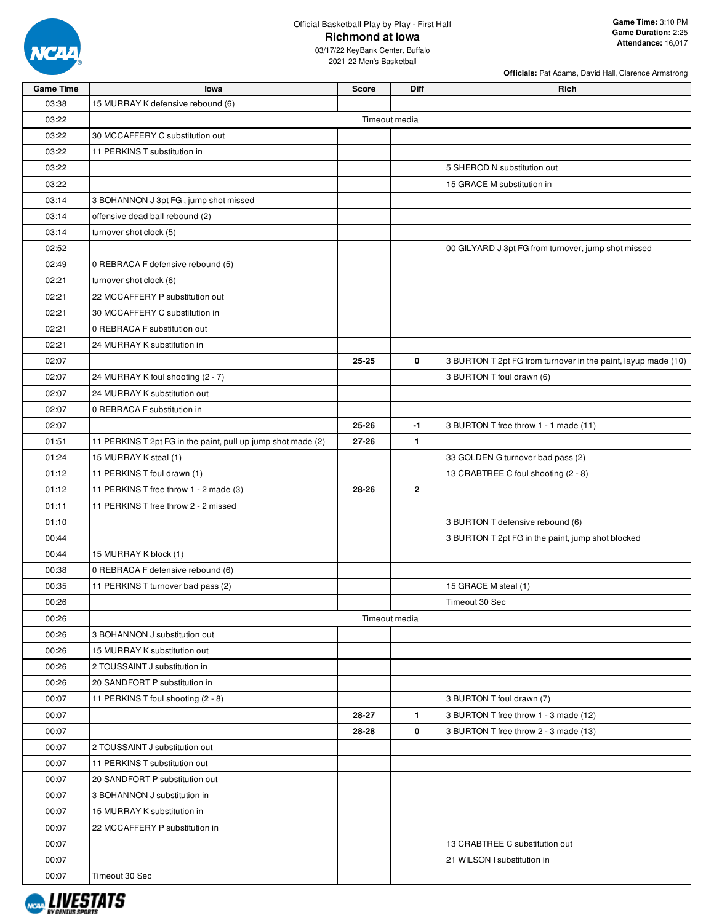

**Officials:** Pat Adams, David Hall, Clarence Armstrong

| <b>Game Time</b> | lowa                                                         | <b>Score</b> | <b>Diff</b>   | Rich                                                          |  |  |  |  |  |  |
|------------------|--------------------------------------------------------------|--------------|---------------|---------------------------------------------------------------|--|--|--|--|--|--|
| 03:38            | 15 MURRAY K defensive rebound (6)                            |              |               |                                                               |  |  |  |  |  |  |
| 03:22            | Timeout media                                                |              |               |                                                               |  |  |  |  |  |  |
| 03:22            | 30 MCCAFFERY C substitution out                              |              |               |                                                               |  |  |  |  |  |  |
| 03:22            | 11 PERKINS T substitution in                                 |              |               |                                                               |  |  |  |  |  |  |
| 03:22            |                                                              |              |               | 5 SHEROD N substitution out                                   |  |  |  |  |  |  |
| 03:22            |                                                              |              |               | 15 GRACE M substitution in                                    |  |  |  |  |  |  |
| 03:14            | 3 BOHANNON J 3pt FG, jump shot missed                        |              |               |                                                               |  |  |  |  |  |  |
| 03:14            | offensive dead ball rebound (2)                              |              |               |                                                               |  |  |  |  |  |  |
| 03:14            | turnover shot clock (5)                                      |              |               |                                                               |  |  |  |  |  |  |
| 02:52            |                                                              |              |               | 00 GILYARD J 3pt FG from turnover, jump shot missed           |  |  |  |  |  |  |
| 02:49            | 0 REBRACA F defensive rebound (5)                            |              |               |                                                               |  |  |  |  |  |  |
| 02:21            | turnover shot clock (6)                                      |              |               |                                                               |  |  |  |  |  |  |
| 02:21            | 22 MCCAFFERY P substitution out                              |              |               |                                                               |  |  |  |  |  |  |
| 02:21            | 30 MCCAFFERY C substitution in                               |              |               |                                                               |  |  |  |  |  |  |
| 02:21            | 0 REBRACA F substitution out                                 |              |               |                                                               |  |  |  |  |  |  |
| 02:21            | 24 MURRAY K substitution in                                  |              |               |                                                               |  |  |  |  |  |  |
| 02:07            |                                                              | 25-25        | 0             | 3 BURTON T 2pt FG from turnover in the paint, layup made (10) |  |  |  |  |  |  |
| 02:07            | 24 MURRAY K foul shooting (2 - 7)                            |              |               | 3 BURTON T foul drawn (6)                                     |  |  |  |  |  |  |
| 02:07            | 24 MURRAY K substitution out                                 |              |               |                                                               |  |  |  |  |  |  |
| 02:07            | 0 REBRACA F substitution in                                  |              |               |                                                               |  |  |  |  |  |  |
| 02:07            |                                                              | 25-26        | -1            | 3 BURTON T free throw 1 - 1 made (11)                         |  |  |  |  |  |  |
| 01:51            | 11 PERKINS T 2pt FG in the paint, pull up jump shot made (2) | 27-26        | $\mathbf{1}$  |                                                               |  |  |  |  |  |  |
| 01:24            | 15 MURRAY K steal (1)                                        |              |               | 33 GOLDEN G turnover bad pass (2)                             |  |  |  |  |  |  |
| 01:12            | 11 PERKINS T foul drawn (1)                                  |              |               | 13 CRABTREE C foul shooting (2 - 8)                           |  |  |  |  |  |  |
| 01:12            | 11 PERKINS T free throw 1 - 2 made (3)                       | 28-26        | $\mathbf{2}$  |                                                               |  |  |  |  |  |  |
| 01:11            | 11 PERKINS T free throw 2 - 2 missed                         |              |               |                                                               |  |  |  |  |  |  |
| 01:10            |                                                              |              |               | 3 BURTON T defensive rebound (6)                              |  |  |  |  |  |  |
| 00:44            |                                                              |              |               | 3 BURTON T 2pt FG in the paint, jump shot blocked             |  |  |  |  |  |  |
| 00:44            | 15 MURRAY K block (1)                                        |              |               |                                                               |  |  |  |  |  |  |
| 00:38            | 0 REBRACA F defensive rebound (6)                            |              |               |                                                               |  |  |  |  |  |  |
| 00:35            | 11 PERKINS T turnover bad pass (2)                           |              |               | 15 GRACE M steal (1)                                          |  |  |  |  |  |  |
| 00:26            |                                                              |              |               | Timeout 30 Sec                                                |  |  |  |  |  |  |
| 00:26            |                                                              |              | Timeout media |                                                               |  |  |  |  |  |  |
| 00:26            | 3 BOHANNON J substitution out                                |              |               |                                                               |  |  |  |  |  |  |
| 00:26            | 15 MURRAY K substitution out                                 |              |               |                                                               |  |  |  |  |  |  |
| 00:26            | 2 TOUSSAINT J substitution in                                |              |               |                                                               |  |  |  |  |  |  |
| 00:26            | 20 SANDFORT P substitution in                                |              |               |                                                               |  |  |  |  |  |  |
| 00:07            | 11 PERKINS T foul shooting (2 - 8)                           |              |               | 3 BURTON T foul drawn (7)                                     |  |  |  |  |  |  |
| 00:07            |                                                              | 28-27        | $\mathbf{1}$  | 3 BURTON T free throw 1 - 3 made (12)                         |  |  |  |  |  |  |
| 00:07            |                                                              | 28-28        | 0             | 3 BURTON T free throw 2 - 3 made (13)                         |  |  |  |  |  |  |
| 00:07            | 2 TOUSSAINT J substitution out                               |              |               |                                                               |  |  |  |  |  |  |
| 00:07            | 11 PERKINS T substitution out                                |              |               |                                                               |  |  |  |  |  |  |
| 00:07            | 20 SANDFORT P substitution out                               |              |               |                                                               |  |  |  |  |  |  |
| 00:07            | 3 BOHANNON J substitution in                                 |              |               |                                                               |  |  |  |  |  |  |
| 00:07            | 15 MURRAY K substitution in                                  |              |               |                                                               |  |  |  |  |  |  |
| 00:07            | 22 MCCAFFERY P substitution in                               |              |               |                                                               |  |  |  |  |  |  |
| 00:07            |                                                              |              |               | 13 CRABTREE C substitution out                                |  |  |  |  |  |  |
| 00:07            |                                                              |              |               | 21 WILSON I substitution in                                   |  |  |  |  |  |  |
| 00:07            | Timeout 30 Sec                                               |              |               |                                                               |  |  |  |  |  |  |

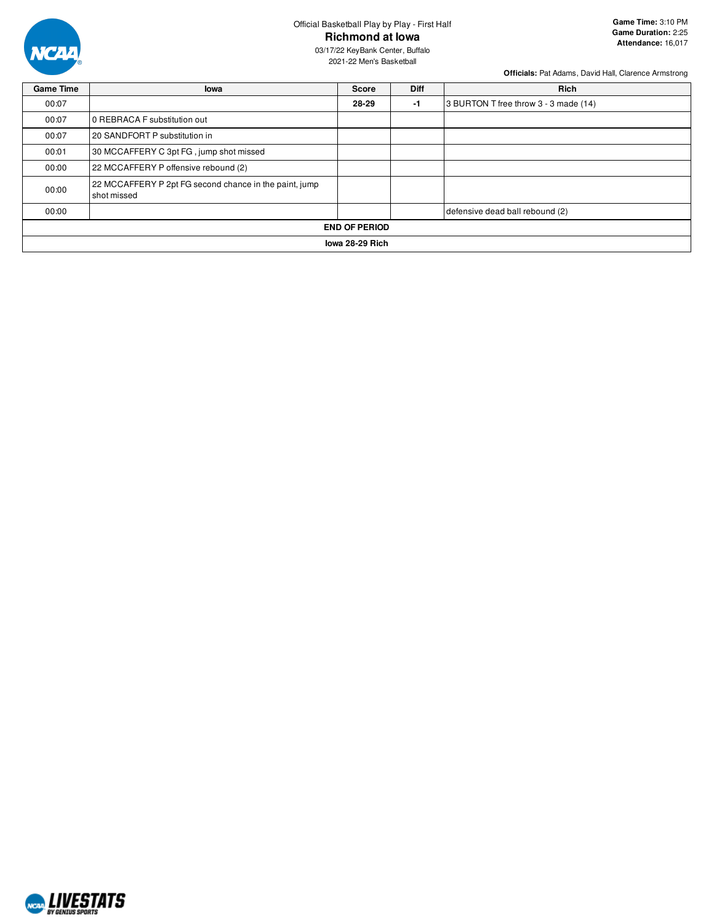

03/17/22 KeyBank Center, Buffalo 2021-22 Men's Basketball

| <b>Game Time</b>     | lowa                                                                  | <b>Score</b> | <b>Diff</b> | <b>Rich</b>                           |  |  |  |  |  |
|----------------------|-----------------------------------------------------------------------|--------------|-------------|---------------------------------------|--|--|--|--|--|
| 00:07                |                                                                       | 28-29        | $-1$        | 3 BURTON T free throw 3 - 3 made (14) |  |  |  |  |  |
| 00:07                | 0 REBRACA F substitution out                                          |              |             |                                       |  |  |  |  |  |
| 00:07                | 20 SANDFORT P substitution in                                         |              |             |                                       |  |  |  |  |  |
| 00:01                | 30 MCCAFFERY C 3pt FG, jump shot missed                               |              |             |                                       |  |  |  |  |  |
| 00:00                | 22 MCCAFFERY P offensive rebound (2)                                  |              |             |                                       |  |  |  |  |  |
| 00:00                | 22 MCCAFFERY P 2pt FG second chance in the paint, jump<br>shot missed |              |             |                                       |  |  |  |  |  |
| 00:00                |                                                                       |              |             | defensive dead ball rebound (2)       |  |  |  |  |  |
| <b>END OF PERIOD</b> |                                                                       |              |             |                                       |  |  |  |  |  |
|                      | lowa 28-29 Rich                                                       |              |             |                                       |  |  |  |  |  |

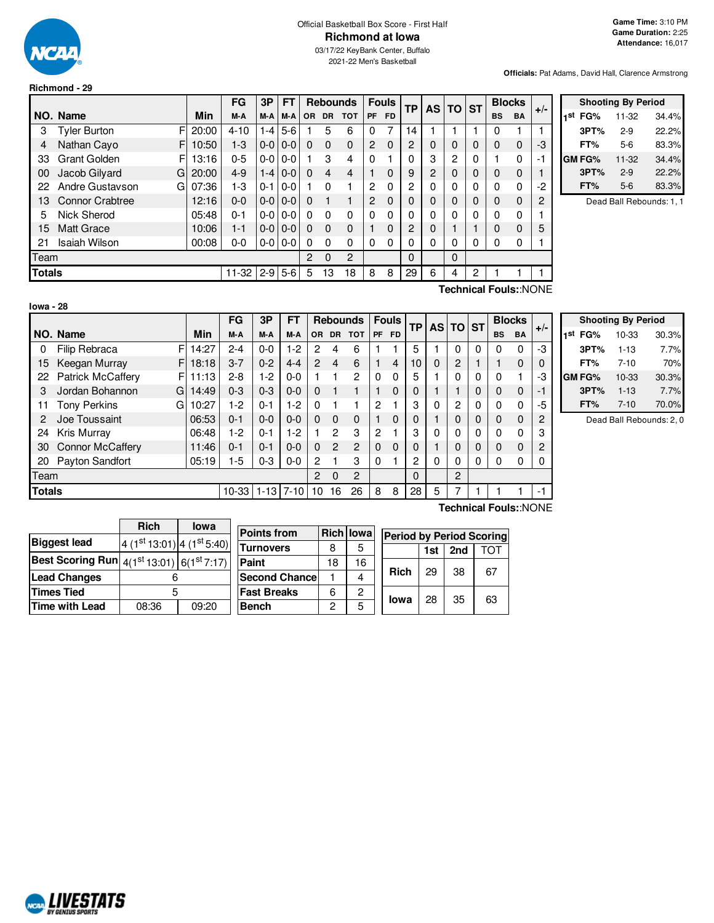

# Official Basketball Box Score - First Half **Richmond at Iowa**

03/17/22 KeyBank Center, Buffalo 2021-22 Men's Basketball

**Officials:** Pat Adams, David Hall, Clarence Armstrong

#### **Richmond - 29**

|               |                          |       | FG        | 3Р              | <b>FT</b>     |          | <b>Rebounds</b> |              |                | <b>Fouls</b> | <b>TP</b> | <b>AS</b> | <b>TO</b> | <b>ST</b> | <b>Blocks</b> |             | $+/-$          |
|---------------|--------------------------|-------|-----------|-----------------|---------------|----------|-----------------|--------------|----------------|--------------|-----------|-----------|-----------|-----------|---------------|-------------|----------------|
|               | NO. Name                 | Min   | M-A       | M-A             | M-A           | OR.      | <b>DR</b>       | <b>TOT</b>   | <b>PF</b>      | FD.          |           |           |           |           | <b>BS</b>     | <b>BA</b>   |                |
| 3             | F<br>Tyler Burton        | 20:00 | $4 - 10$  | $1 - 4$         | $5-6$         |          | 5               | 6            | 0              | 7            | 14        |           |           |           | 0             |             |                |
| 4             | F<br>Nathan Cayo         | 10:50 | $1 - 3$   | $0-0$           | $0 - 0$       | 0        | $\Omega$        | $\mathbf{0}$ | $\overline{2}$ | $\Omega$     | 2         | 0         | $\Omega$  | $\Omega$  | $\Omega$      | 0           | -3             |
| 33            | <b>Grant Golden</b><br>F | 13:16 | $0 - 5$   | $0-0$           | $0 - 0$       |          | 3               | 4            | $\Omega$       |              | O         | 3         | 2         | 0         |               | 0           | -1             |
| 00            | Jacob Gilyard<br>G       | 20:00 | $4 - 9$   |                 | $1 - 410 - 0$ | $\Omega$ | $\overline{4}$  | 4            |                | $\Omega$     | 9         | 2         | $\Omega$  | 0         | $\Omega$      | $\mathbf 0$ |                |
| 22            | Andre Gustavson<br>G     | 07:36 | 1-3       | $0 - 1$         | $0 - 0$       |          | 0               |              | 2              | 0            | 2         | 0         | 0         | 0         | 0             | 0           | $-2$           |
| 13            | <b>Connor Crabtree</b>   | 12:16 | $0 - 0$   | $0 - 0 1 0 - 0$ |               | 0        |                 |              | $\overline{c}$ | $\Omega$     | 0         | 0         | $\Omega$  | $\Omega$  | $\Omega$      | $\Omega$    | $\overline{2}$ |
| 5             | Nick Sherod              | 05:48 | $0 - 1$   | $0-0$           | l 0-0         | 0        | 0               | 0            | $\Omega$       | 0            | 0         | 0         | 0         | 0         | 0             | 0           |                |
| 15            | <b>Matt Grace</b>        | 10:06 | $1 - 1$   | $0 - 0 0 - 0$   |               | 0        | $\Omega$        | $\mathbf{0}$ |                | $\Omega$     | 2         | 0         |           |           | $\Omega$      | $\Omega$    | 5              |
| 21            | <b>Isaiah Wilson</b>     | 00:08 | $0 - 0$   | $0 - 0 0 - 0$   |               | $\Omega$ | $\Omega$        | 0            | $\Omega$       | 0            | 0         | 0         | 0         | 0         | 0             | 0           |                |
| Team          |                          |       |           |                 |               | 2        | $\Omega$        | 2            |                |              | $\Omega$  |           | $\Omega$  |           |               |             |                |
| <b>Totals</b> |                          |       | $11 - 32$ | $2 - 9$         | $5-6$         | 5        | 13              | 18           | 8              | 8            | 29        | 6         | 4         | 2         |               |             |                |
|               |                          |       |           |                 |               |          |                 |              |                |              |           |           |           |           |               |             |                |

|     | <b>Shooting By Period</b> |       |       |  |  |  |  |  |  |
|-----|---------------------------|-------|-------|--|--|--|--|--|--|
| 1st | FG%                       | 11-32 | 34.4% |  |  |  |  |  |  |
|     | 3PT%                      | $2-9$ | 22.2% |  |  |  |  |  |  |
|     | FT%                       | 5-6   | 83.3% |  |  |  |  |  |  |
|     | GM FG%                    | 11-32 | 34.4% |  |  |  |  |  |  |
|     | 3PT%                      | $2-9$ | 22.2% |  |  |  |  |  |  |
|     | FT%                       | 5-6   | 83.3% |  |  |  |  |  |  |

Dead Ball Rebounds: 1, 1

| lowa - 28 |  |
|-----------|--|

**Technical Fouls:**:NONE

|        |                               |       | FG      | 3P       | FT       |                |                | <b>Rebounds</b> |           | <b>Fouls</b>   | <b>TP</b> |   | AS TO ST       |   | <b>Blocks</b> |              | $+/-$ |
|--------|-------------------------------|-------|---------|----------|----------|----------------|----------------|-----------------|-----------|----------------|-----------|---|----------------|---|---------------|--------------|-------|
|        | NO. Name                      | Min   | M-A     | M-A      | M-A      | OR.            | DR.            | <b>TOT</b>      | <b>PF</b> | <b>FD</b>      |           |   |                |   | <b>BS</b>     | <b>BA</b>    |       |
| 0      | F<br>Filip Rebraca            | 14:27 | $2 - 4$ | $0 - 0$  | I-2      | 2              | 4              | 6               |           |                | 5         |   | 0              | 0 |               | 0            | -3    |
| 15     | Keegan Murray<br>FI           | 18:18 | $3 - 7$ | $0 - 2$  | $4 - 4$  | $\mathbf{2}$   | 4              | 6               |           | $\overline{4}$ | 10        | 0 | 2              |   |               | 0            | 0     |
| 22     | <b>Patrick McCaffery</b><br>F | 11:13 | $2 - 8$ | $1-2$    | $0 - 0$  |                |                | $\overline{c}$  | $\Omega$  | $\Omega$       | 5         |   | 0              | 0 |               | 1            | -3    |
|        | Jordan Bohannon<br>G          | 14:49 | $0 - 3$ | $0 - 3$  | $0 - 0$  | 0              |                |                 |           | $\Omega$       | 0         |   |                | 0 | 0             | 0            |       |
| 11     | Tony Perkins<br>G             | 10:27 | $1-2$   | $0 - 1$  | 1-2      | 0              |                |                 | 2         |                | 3         | 0 | 2              | 0 | 0             | 0            | -5    |
|        | Joe Toussaint                 | 06:53 | $0 - 1$ | $0 - 0$  | $0 - 0$  | 0              | $\Omega$       | $\Omega$        |           | 0              |           |   | 0              | 0 | O             | 0            | 2     |
| 24     | Kris Murray                   | 06:48 | 1-2     | $0 - 1$  | $-2$     |                | $\overline{2}$ | 3               | 2         |                | 3         | 0 | 0              | 0 | n             | $\mathbf{0}$ | 3     |
| 30     | <b>Connor McCaffery</b>       | 11:46 | $0 - 1$ | $0 - 1$  | $0 - 0$  | 0              | $\overline{2}$ | $\overline{c}$  | $\Omega$  | 0              | 0         |   | 0              | 0 | 0             | 0            | 2     |
| 20     | Payton Sandfort               | 05:19 | 1-5     | $0 - 3$  | $0-0$    | 2              |                | 3               | $\Omega$  |                | 2         | 0 | 0              | 0 | 0             | 0            |       |
| Team   |                               |       |         |          |          | $\overline{2}$ | $\Omega$       | $\overline{2}$  |           |                | 0         |   | $\overline{2}$ |   |               |              |       |
| Totals |                               |       | $10-33$ | $1 - 13$ | $7 - 10$ | 10             | 16             | 26              | 8         | 8              | 28        | 5 |                |   |               |              | $-1$  |

|     | <b>Shooting By Period</b> |          |       |  |  |  |  |  |  |
|-----|---------------------------|----------|-------|--|--|--|--|--|--|
| 1st | FG%                       | 10-33    | 30.3% |  |  |  |  |  |  |
|     | 3PT%                      | $1 - 13$ | 7.7%  |  |  |  |  |  |  |
|     | FT%                       | $7 - 10$ | 70%   |  |  |  |  |  |  |
|     | GM FG%                    | 10-33    | 30.3% |  |  |  |  |  |  |
|     | 3PT%                      | $1 - 13$ | 7.7%  |  |  |  |  |  |  |
|     | FT%                       | $7 - 10$ | 70.0% |  |  |  |  |  |  |

Dead Ball Rebounds: 2, 0

|                                                                   | <b>Rich</b>                | Iowa  |  |  |  |
|-------------------------------------------------------------------|----------------------------|-------|--|--|--|
| <b>Biggest lead</b>                                               | 4 (1st 13:01) 4 (1st 5:40) |       |  |  |  |
| <b>Best Scoring Run</b> $4(1^{st} 13:01)$ 6(1 <sup>st</sup> 7:17) |                            |       |  |  |  |
| <b>Lead Changes</b>                                               |                            |       |  |  |  |
| <b>Times Tied</b>                                                 | 5                          |       |  |  |  |
| <b>Time with Lead</b>                                             | 08:36                      | 09:20 |  |  |  |

| <b>Points from</b>    |    | <b>Rich Iowa</b> |             | <b>Period by Period Scoring</b> |     |    |
|-----------------------|----|------------------|-------------|---------------------------------|-----|----|
| <b>Turnovers</b>      |    | 5                |             | 1st                             | 2nd |    |
| Paint                 | 18 | 16               |             |                                 |     |    |
| <b>Second Chancel</b> |    |                  | <b>Rich</b> | 29                              | 38  | 67 |
| <b>Fast Breaks</b>    | 6  | 2                |             |                                 | 35  |    |
| <b>Bench</b>          |    | 5                | <b>lowa</b> | 28                              |     | 63 |

**Technical Fouls:**:NONE

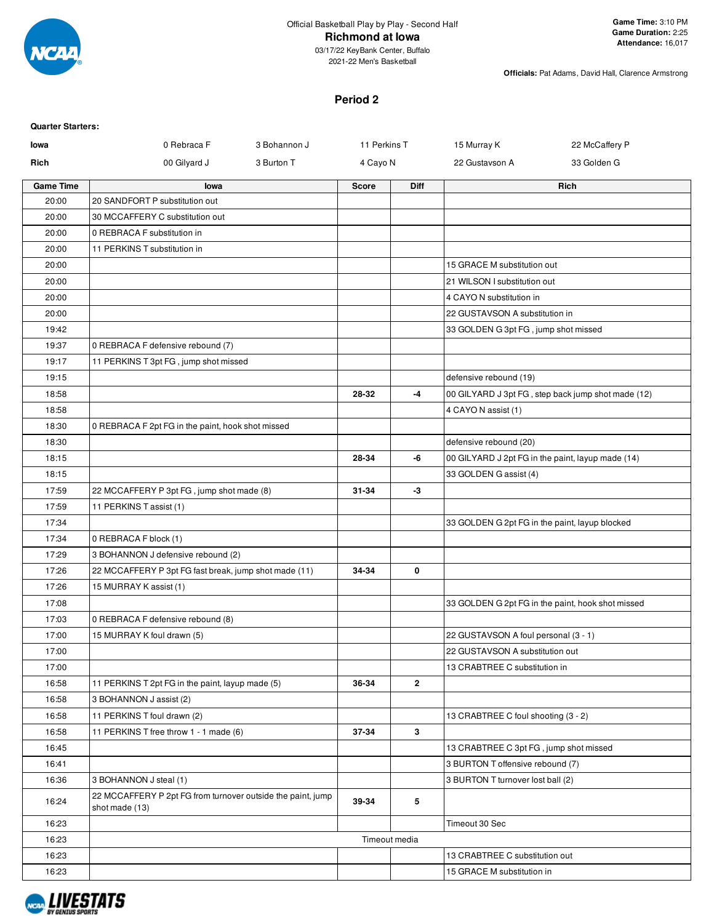

2021-22 Men's Basketball

**Officials:** Pat Adams, David Hall, Clarence Armstrong

#### **Period 2**

| <b>Quarter Starters:</b> |                                                                               |                              |               |                                                |                                                    |
|--------------------------|-------------------------------------------------------------------------------|------------------------------|---------------|------------------------------------------------|----------------------------------------------------|
| lowa                     | 0 Rebraca F                                                                   | 3 Bohannon J<br>11 Perkins T |               | 15 Murray K                                    | 22 McCaffery P                                     |
| Rich                     | 00 Gilyard J<br>3 Burton T                                                    | 4 Cayo N                     |               | 22 Gustavson A                                 | 33 Golden G                                        |
| <b>Game Time</b>         | lowa                                                                          | <b>Score</b>                 | <b>Diff</b>   |                                                | Rich                                               |
| 20:00                    | 20 SANDFORT P substitution out                                                |                              |               |                                                |                                                    |
| 20:00                    | 30 MCCAFFERY C substitution out                                               |                              |               |                                                |                                                    |
| 20:00                    | 0 REBRACA F substitution in                                                   |                              |               |                                                |                                                    |
| 20:00                    | 11 PERKINS T substitution in                                                  |                              |               |                                                |                                                    |
| 20:00                    |                                                                               |                              |               | 15 GRACE M substitution out                    |                                                    |
| 20:00                    |                                                                               |                              |               | 21 WILSON I substitution out                   |                                                    |
| 20:00                    |                                                                               |                              |               | 4 CAYO N substitution in                       |                                                    |
| 20:00                    |                                                                               |                              |               | 22 GUSTAVSON A substitution in                 |                                                    |
| 19:42                    |                                                                               |                              |               | 33 GOLDEN G 3pt FG, jump shot missed           |                                                    |
| 19:37                    | 0 REBRACA F defensive rebound (7)                                             |                              |               |                                                |                                                    |
| 19:17                    | 11 PERKINS T 3pt FG, jump shot missed                                         |                              |               |                                                |                                                    |
| 19:15                    |                                                                               |                              |               | defensive rebound (19)                         |                                                    |
| 18:58                    |                                                                               | 28-32                        | -4            |                                                | 00 GILYARD J 3pt FG, step back jump shot made (12) |
| 18:58                    |                                                                               |                              |               | 4 CAYO N assist (1)                            |                                                    |
| 18:30                    | 0 REBRACA F 2pt FG in the paint, hook shot missed                             |                              |               |                                                |                                                    |
| 18:30                    |                                                                               |                              |               | defensive rebound (20)                         |                                                    |
| 18:15                    |                                                                               | 28-34                        | -6            |                                                | 00 GILYARD J 2pt FG in the paint, layup made (14)  |
| 18:15                    |                                                                               |                              |               | 33 GOLDEN G assist (4)                         |                                                    |
| 17:59<br>17:59           | 22 MCCAFFERY P 3pt FG, jump shot made (8)                                     | 31-34                        | $-3$          |                                                |                                                    |
| 17:34                    | 11 PERKINS T assist (1)                                                       |                              |               | 33 GOLDEN G 2pt FG in the paint, layup blocked |                                                    |
| 17:34                    | 0 REBRACA F block (1)                                                         |                              |               |                                                |                                                    |
| 17:29                    | 3 BOHANNON J defensive rebound (2)                                            |                              |               |                                                |                                                    |
| 17:26                    | 22 MCCAFFERY P 3pt FG fast break, jump shot made (11)                         | 34-34                        | 0             |                                                |                                                    |
| 17:26                    | 15 MURRAY K assist (1)                                                        |                              |               |                                                |                                                    |
| 17:08                    |                                                                               |                              |               |                                                | 33 GOLDEN G 2pt FG in the paint, hook shot missed  |
| 17:03                    | 0 REBRACA F defensive rebound (8)                                             |                              |               |                                                |                                                    |
| 17:00                    | 15 MURRAY K foul drawn (5)                                                    |                              |               | 22 GUSTAVSON A foul personal (3 - 1)           |                                                    |
| 17:00                    |                                                                               |                              |               | 22 GUSTAVSON A substitution out                |                                                    |
| 17:00                    |                                                                               |                              |               | 13 CRABTREE C substitution in                  |                                                    |
| 16:58                    | 11 PERKINS T 2pt FG in the paint, layup made (5)                              | 36-34                        | $\mathbf{2}$  |                                                |                                                    |
| 16:58                    | 3 BOHANNON J assist (2)                                                       |                              |               |                                                |                                                    |
| 16:58                    | 11 PERKINS T foul drawn (2)                                                   |                              |               | 13 CRABTREE C foul shooting (3 - 2)            |                                                    |
| 16:58                    | 11 PERKINS T free throw 1 - 1 made (6)                                        | 37-34                        | 3             |                                                |                                                    |
| 16:45                    |                                                                               |                              |               | 13 CRABTREE C 3pt FG, jump shot missed         |                                                    |
| 16:41                    |                                                                               |                              |               | 3 BURTON T offensive rebound (7)               |                                                    |
| 16:36                    | 3 BOHANNON J steal (1)                                                        |                              |               | 3 BURTON T turnover lost ball (2)              |                                                    |
| 16:24                    | 22 MCCAFFERY P 2pt FG from turnover outside the paint, jump<br>shot made (13) | 39-34                        | 5             |                                                |                                                    |
| 16:23                    |                                                                               |                              |               | Timeout 30 Sec                                 |                                                    |
| 16:23                    |                                                                               |                              | Timeout media |                                                |                                                    |
| 16:23                    |                                                                               |                              |               | 13 CRABTREE C substitution out                 |                                                    |
| 16:23                    |                                                                               |                              |               | 15 GRACE M substitution in                     |                                                    |

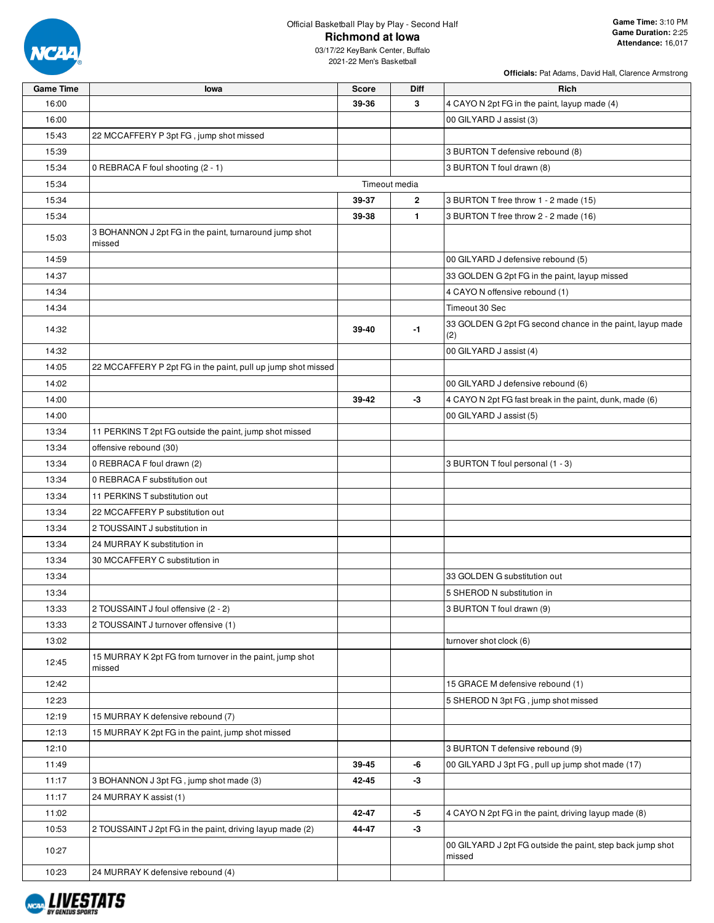

03/17/22 KeyBank Center, Buffalo 2021-22 Men's Basketball

| <b>Game Time</b> | lowa                                                               | <b>Score</b> | <b>Diff</b>    | Rich                                                                 |
|------------------|--------------------------------------------------------------------|--------------|----------------|----------------------------------------------------------------------|
| 16:00            |                                                                    | 39-36        | 3              | 4 CAYO N 2pt FG in the paint, layup made (4)                         |
| 16:00            |                                                                    |              |                | 00 GILYARD J assist (3)                                              |
| 15:43            | 22 MCCAFFERY P 3pt FG, jump shot missed                            |              |                |                                                                      |
| 15:39            |                                                                    |              |                | 3 BURTON T defensive rebound (8)                                     |
| 15:34            | 0 REBRACA F foul shooting (2 - 1)                                  |              |                | 3 BURTON T foul drawn (8)                                            |
| 15:34            |                                                                    |              | Timeout media  |                                                                      |
| 15:34            |                                                                    | 39-37        | $\overline{2}$ | 3 BURTON T free throw 1 - 2 made (15)                                |
| 15:34            |                                                                    | 39-38        | $\mathbf{1}$   | 3 BURTON T free throw 2 - 2 made (16)                                |
| 15:03            | 3 BOHANNON J 2pt FG in the paint, turnaround jump shot<br>missed   |              |                |                                                                      |
| 14:59            |                                                                    |              |                | 00 GILYARD J defensive rebound (5)                                   |
| 14:37            |                                                                    |              |                | 33 GOLDEN G 2pt FG in the paint, layup missed                        |
| 14:34            |                                                                    |              |                | 4 CAYO N offensive rebound (1)                                       |
| 14:34            |                                                                    |              |                | Timeout 30 Sec                                                       |
| 14:32            |                                                                    | 39-40        | -1             | 33 GOLDEN G 2pt FG second chance in the paint, layup made<br>(2)     |
| 14:32            |                                                                    |              |                | 00 GILYARD J assist (4)                                              |
| 14:05            | 22 MCCAFFERY P 2pt FG in the paint, pull up jump shot missed       |              |                |                                                                      |
| 14:02            |                                                                    |              |                | 00 GILYARD J defensive rebound (6)                                   |
| 14:00            |                                                                    | 39-42        | -3             | 4 CAYO N 2pt FG fast break in the paint, dunk, made (6)              |
| 14:00            |                                                                    |              |                | 00 GILYARD J assist (5)                                              |
| 13:34            | 11 PERKINS T 2pt FG outside the paint, jump shot missed            |              |                |                                                                      |
| 13:34            | offensive rebound (30)                                             |              |                |                                                                      |
| 13:34            | 0 REBRACA F foul drawn (2)                                         |              |                | 3 BURTON T foul personal (1 - 3)                                     |
| 13:34            | 0 REBRACA F substitution out                                       |              |                |                                                                      |
| 13:34            | 11 PERKINS T substitution out                                      |              |                |                                                                      |
| 13:34            | 22 MCCAFFERY P substitution out                                    |              |                |                                                                      |
| 13:34            | 2 TOUSSAINT J substitution in                                      |              |                |                                                                      |
| 13:34            | 24 MURRAY K substitution in                                        |              |                |                                                                      |
| 13:34            | 30 MCCAFFERY C substitution in                                     |              |                |                                                                      |
| 13:34            |                                                                    |              |                | 33 GOLDEN G substitution out                                         |
| 13:34            |                                                                    |              |                | 5 SHEROD N substitution in                                           |
| 13:33            | 2 TOUSSAINT J foul offensive (2 - 2)                               |              |                | 3 BURTON T foul drawn (9)                                            |
| 13:33            | 2 TOUSSAINT J turnover offensive (1)                               |              |                |                                                                      |
| 13:02            |                                                                    |              |                | turnover shot clock (6)                                              |
| 12:45            | 15 MURRAY K 2pt FG from turnover in the paint, jump shot<br>missed |              |                |                                                                      |
| 12:42            |                                                                    |              |                | 15 GRACE M defensive rebound (1)                                     |
| 12:23            |                                                                    |              |                | 5 SHEROD N 3pt FG, jump shot missed                                  |
| 12:19            | 15 MURRAY K defensive rebound (7)                                  |              |                |                                                                      |
| 12:13            | 15 MURRAY K 2pt FG in the paint, jump shot missed                  |              |                |                                                                      |
| 12:10            |                                                                    |              |                | 3 BURTON T defensive rebound (9)                                     |
| 11:49            |                                                                    | 39-45        | -6             | 00 GILYARD J 3pt FG, pull up jump shot made (17)                     |
| 11:17            | 3 BOHANNON J 3pt FG, jump shot made (3)                            | 42-45        | $-3$           |                                                                      |
| 11:17            | 24 MURRAY K assist (1)                                             |              |                |                                                                      |
| 11:02            |                                                                    | 42-47        | $-5$           | 4 CAYO N 2pt FG in the paint, driving layup made (8)                 |
| 10:53            | 2 TOUSSAINT J 2pt FG in the paint, driving layup made (2)          | 44-47        | -3             |                                                                      |
| 10:27            |                                                                    |              |                | 00 GILYARD J 2pt FG outside the paint, step back jump shot<br>missed |
| 10:23            | 24 MURRAY K defensive rebound (4)                                  |              |                |                                                                      |

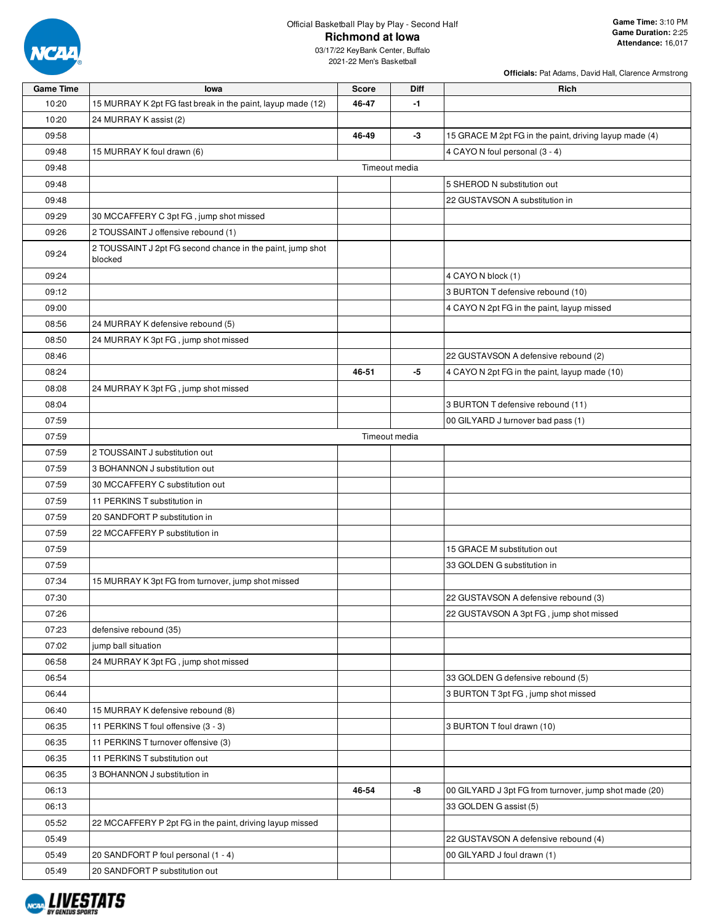

**Officials:** Pat Adams, David Hall, Clarence Armstrong

| <b>Game Time</b> | lowa                                                                  | <b>Score</b> | <b>Diff</b>   | Rich                                                   |
|------------------|-----------------------------------------------------------------------|--------------|---------------|--------------------------------------------------------|
| 10:20            | 15 MURRAY K 2pt FG fast break in the paint, layup made (12)           | 46-47        | -1            |                                                        |
| 10:20            | 24 MURRAY K assist (2)                                                |              |               |                                                        |
| 09:58            |                                                                       | 46-49        | -3            | 15 GRACE M 2pt FG in the paint, driving layup made (4) |
| 09:48            | 15 MURRAY K foul drawn (6)                                            |              |               | 4 CAYO N foul personal (3 - 4)                         |
| 09:48            |                                                                       |              | Timeout media |                                                        |
| 09:48            |                                                                       |              |               | 5 SHEROD N substitution out                            |
| 09:48            |                                                                       |              |               | 22 GUSTAVSON A substitution in                         |
| 09:29            | 30 MCCAFFERY C 3pt FG, jump shot missed                               |              |               |                                                        |
| 09:26            | 2 TOUSSAINT J offensive rebound (1)                                   |              |               |                                                        |
| 09:24            | 2 TOUSSAINT J 2pt FG second chance in the paint, jump shot<br>blocked |              |               |                                                        |
| 09:24            |                                                                       |              |               | 4 CAYO N block (1)                                     |
| 09:12            |                                                                       |              |               | 3 BURTON T defensive rebound (10)                      |
| 09:00            |                                                                       |              |               | 4 CAYO N 2pt FG in the paint, layup missed             |
| 08:56            | 24 MURRAY K defensive rebound (5)                                     |              |               |                                                        |
| 08:50            | 24 MURRAY K 3pt FG, jump shot missed                                  |              |               |                                                        |
| 08:46            |                                                                       |              |               | 22 GUSTAVSON A defensive rebound (2)                   |
| 08:24            |                                                                       | 46-51        | -5            | 4 CAYO N 2pt FG in the paint, layup made (10)          |
| 08:08            | 24 MURRAY K 3pt FG, jump shot missed                                  |              |               |                                                        |
| 08:04            |                                                                       |              |               | 3 BURTON T defensive rebound (11)                      |
| 07:59            |                                                                       |              |               | 00 GILYARD J turnover bad pass (1)                     |
| 07:59            |                                                                       |              | Timeout media |                                                        |
| 07:59            | 2 TOUSSAINT J substitution out                                        |              |               |                                                        |
| 07:59            | 3 BOHANNON J substitution out                                         |              |               |                                                        |
| 07:59            | 30 MCCAFFERY C substitution out                                       |              |               |                                                        |
| 07:59            | 11 PERKINS T substitution in                                          |              |               |                                                        |
| 07:59            | 20 SANDFORT P substitution in                                         |              |               |                                                        |
| 07:59            | 22 MCCAFFERY P substitution in                                        |              |               |                                                        |
| 07:59            |                                                                       |              |               | 15 GRACE M substitution out                            |
| 07:59            |                                                                       |              |               | 33 GOLDEN G substitution in                            |
| 07:34            | 15 MURRAY K 3pt FG from turnover, jump shot missed                    |              |               |                                                        |
| 07:30            |                                                                       |              |               | 22 GUSTAVSON A defensive rebound (3)                   |
| 07:26            |                                                                       |              |               | 22 GUSTAVSON A 3pt FG, jump shot missed                |
| 07:23            | defensive rebound (35)                                                |              |               |                                                        |
| 07:02            | jump ball situation                                                   |              |               |                                                        |
| 06:58            | 24 MURRAY K 3pt FG, jump shot missed                                  |              |               |                                                        |
| 06:54            |                                                                       |              |               | 33 GOLDEN G defensive rebound (5)                      |
| 06:44            |                                                                       |              |               | 3 BURTON T 3pt FG, jump shot missed                    |
| 06:40            | 15 MURRAY K defensive rebound (8)                                     |              |               |                                                        |
| 06:35            | 11 PERKINS T foul offensive (3 - 3)                                   |              |               | 3 BURTON T foul drawn (10)                             |
| 06:35            | 11 PERKINS T turnover offensive (3)                                   |              |               |                                                        |
| 06:35            | 11 PERKINS T substitution out                                         |              |               |                                                        |
| 06:35            | 3 BOHANNON J substitution in                                          |              |               |                                                        |
| 06:13            |                                                                       | 46-54        | -8            | 00 GILYARD J 3pt FG from turnover, jump shot made (20) |
| 06:13            |                                                                       |              |               | 33 GOLDEN G assist (5)                                 |
| 05:52            | 22 MCCAFFERY P 2pt FG in the paint, driving layup missed              |              |               |                                                        |
| 05:49            |                                                                       |              |               | 22 GUSTAVSON A defensive rebound (4)                   |
| 05:49            | 20 SANDFORT P foul personal (1 - 4)                                   |              |               | 00 GILYARD J foul drawn (1)                            |
| 05:49            | 20 SANDFORT P substitution out                                        |              |               |                                                        |
|                  |                                                                       |              |               |                                                        |

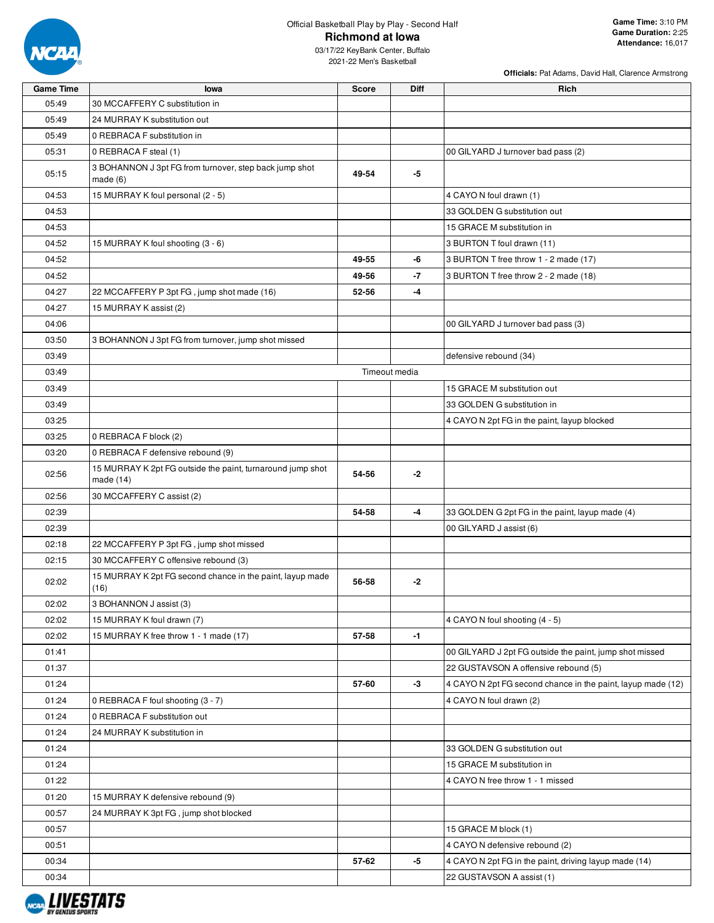

**Officials:** Pat Adams, David Hall, Clarence Armstrong

| 33 GOLDEN G 2pt FG in the paint, layup made (4)             |
|-------------------------------------------------------------|
|                                                             |
|                                                             |
|                                                             |
|                                                             |
|                                                             |
|                                                             |
|                                                             |
| 00 GILYARD J 2pt FG outside the paint, jump shot missed     |
|                                                             |
| 4 CAYO N 2pt FG second chance in the paint, layup made (12) |
|                                                             |
|                                                             |
|                                                             |
|                                                             |
|                                                             |
|                                                             |
|                                                             |
|                                                             |
|                                                             |
|                                                             |
| 4 CAYO N 2pt FG in the paint, driving layup made (14)       |
|                                                             |
|                                                             |

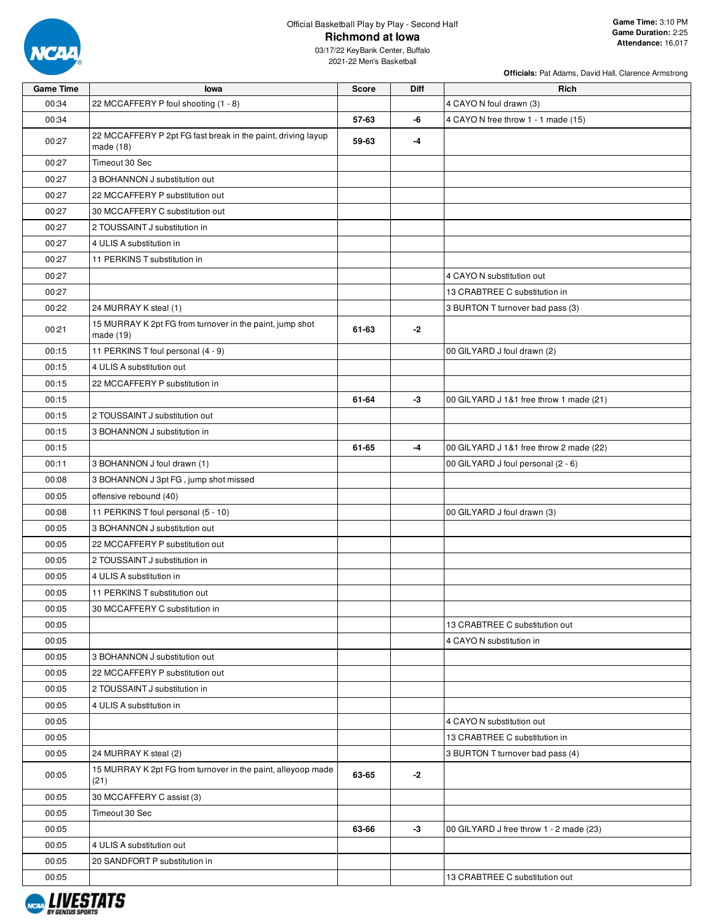

03/17/22 KeyBank Center, Buffalo 2021-22 Men's Basketball

| <b>Game Time</b> | lowa                                                                        | <b>Score</b> | Diff | Rich                                    |
|------------------|-----------------------------------------------------------------------------|--------------|------|-----------------------------------------|
| 00:34            | 22 MCCAFFERY P foul shooting (1 - 8)                                        |              |      | 4 CAYO N foul drawn (3)                 |
| 00:34            |                                                                             | 57-63        | -6   | 4 CAYO N free throw 1 - 1 made (15)     |
| 00:27            | 22 MCCAFFERY P 2pt FG fast break in the paint, driving layup<br>made $(18)$ | 59-63        | -4   |                                         |
| 00:27            | Timeout 30 Sec                                                              |              |      |                                         |
| 00:27            | 3 BOHANNON J substitution out                                               |              |      |                                         |
| 00:27            | 22 MCCAFFERY P substitution out                                             |              |      |                                         |
| 00:27            | 30 MCCAFFERY C substitution out                                             |              |      |                                         |
| 00:27            | 2 TOUSSAINT J substitution in                                               |              |      |                                         |
| 00:27            | 4 ULIS A substitution in                                                    |              |      |                                         |
| 00:27            | 11 PERKINS T substitution in                                                |              |      |                                         |
| 00:27            |                                                                             |              |      | 4 CAYO N substitution out               |
| 00:27            |                                                                             |              |      | 13 CRABTREE C substitution in           |
| 00:22            | 24 MURRAY K steal (1)                                                       |              |      | 3 BURTON T turnover bad pass (3)        |
| 00:21            | 15 MURRAY K 2pt FG from turnover in the paint, jump shot<br>made (19)       | 61-63        | $-2$ |                                         |
| 00:15            | 11 PERKINS T foul personal (4 - 9)                                          |              |      | 00 GILYARD J foul drawn (2)             |
| 00:15            | 4 ULIS A substitution out                                                   |              |      |                                         |
| 00:15            | 22 MCCAFFERY P substitution in                                              |              |      |                                         |
| 00:15            |                                                                             | 61-64        | -3   | 00 GILYARD J 1&1 free throw 1 made (21) |
| 00:15            | 2 TOUSSAINT J substitution out                                              |              |      |                                         |
| 00:15            | 3 BOHANNON J substitution in                                                |              |      |                                         |
| 00:15            |                                                                             | 61-65        | -4   | 00 GILYARD J 1&1 free throw 2 made (22) |
| 00:11            | 3 BOHANNON J foul drawn (1)                                                 |              |      | 00 GILYARD J foul personal (2 - 6)      |
| 00:08            | 3 BOHANNON J 3pt FG, jump shot missed                                       |              |      |                                         |
| 00:05            | offensive rebound (40)                                                      |              |      |                                         |
| 00:08            | 11 PERKINS T foul personal (5 - 10)                                         |              |      | 00 GILYARD J foul drawn (3)             |
| 00:05            | 3 BOHANNON J substitution out                                               |              |      |                                         |
| 00:05            | 22 MCCAFFERY P substitution out                                             |              |      |                                         |
| 00:05            | 2 TOUSSAINT J substitution in                                               |              |      |                                         |
| 00:05            | 4 ULIS A substitution in                                                    |              |      |                                         |
| 00:05            | 11 PERKINS T substitution out                                               |              |      |                                         |
| 00:05            | 30 MCCAFFERY C substitution in                                              |              |      |                                         |
| 00:05            |                                                                             |              |      | 13 CRABTREE C substitution out          |
| 00:05            |                                                                             |              |      | 4 CAYO N substitution in                |
| 00:05            | 3 BOHANNON J substitution out                                               |              |      |                                         |
| 00:05            | 22 MCCAFFERY P substitution out                                             |              |      |                                         |
| 00:05            | 2 TOUSSAINT J substitution in                                               |              |      |                                         |
| 00:05            | 4 ULIS A substitution in                                                    |              |      |                                         |
| 00:05            |                                                                             |              |      | 4 CAYO N substitution out               |
| 00:05            |                                                                             |              |      | 13 CRABTREE C substitution in           |
| 00:05            | 24 MURRAY K steal (2)                                                       |              |      | 3 BURTON T turnover bad pass (4)        |
| 00:05            | 15 MURRAY K 2pt FG from turnover in the paint, alleyoop made<br>(21)        | 63-65        | -2   |                                         |
| 00:05            | 30 MCCAFFERY C assist (3)                                                   |              |      |                                         |
| 00:05            | Timeout 30 Sec                                                              |              |      |                                         |
| 00:05            |                                                                             | 63-66        | -3   | 00 GILYARD J free throw 1 - 2 made (23) |
| 00:05            | 4 ULIS A substitution out                                                   |              |      |                                         |
| 00:05            | 20 SANDFORT P substitution in                                               |              |      |                                         |
| 00:05            |                                                                             |              |      | 13 CRABTREE C substitution out          |

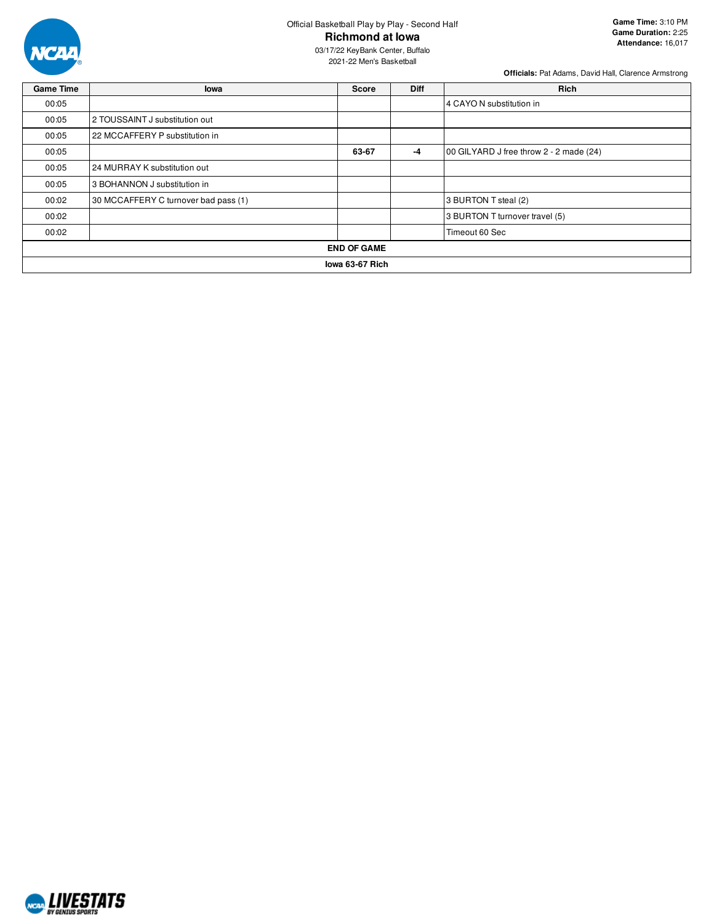

03/17/22 KeyBank Center, Buffalo 2021-22 Men's Basketball

| <b>Game Time</b>   | lowa                                                     | <b>Score</b>             | <b>Diff</b> | <b>Rich</b>          |  |  |  |  |  |
|--------------------|----------------------------------------------------------|--------------------------|-------------|----------------------|--|--|--|--|--|
| 00:05              |                                                          | 4 CAYO N substitution in |             |                      |  |  |  |  |  |
| 00:05              | 2 TOUSSAINT J substitution out                           |                          |             |                      |  |  |  |  |  |
| 00:05              | 22 MCCAFFERY P substitution in                           |                          |             |                      |  |  |  |  |  |
| 00:05              | 00 GILYARD J free throw 2 - 2 made (24)<br>63-67<br>$-4$ |                          |             |                      |  |  |  |  |  |
| 00:05              | 24 MURRAY K substitution out                             |                          |             |                      |  |  |  |  |  |
| 00:05              | 3 BOHANNON J substitution in                             |                          |             |                      |  |  |  |  |  |
| 00:02              | 30 MCCAFFERY C turnover bad pass (1)                     |                          |             | 3 BURTON T steal (2) |  |  |  |  |  |
| 00:02              | 3 BURTON T turnover travel (5)                           |                          |             |                      |  |  |  |  |  |
| 00:02              | Timeout 60 Sec                                           |                          |             |                      |  |  |  |  |  |
| <b>END OF GAME</b> |                                                          |                          |             |                      |  |  |  |  |  |
|                    | lowa 63-67 Rich                                          |                          |             |                      |  |  |  |  |  |